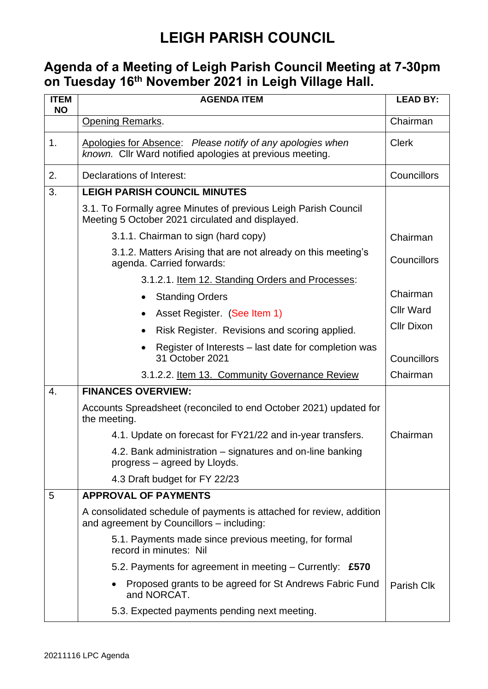## **LEIGH PARISH COUNCIL**

#### **Agenda of a Meeting of Leigh Parish Council Meeting at 7-30pm on Tuesday 16 th November 2021 in Leigh Village Hall.**

| <b>ITEM</b><br><b>NO</b> | <b>AGENDA ITEM</b>                                                                                                     | <b>LEAD BY:</b>   |
|--------------------------|------------------------------------------------------------------------------------------------------------------------|-------------------|
|                          | <b>Opening Remarks.</b>                                                                                                | Chairman          |
| 1.                       | Apologies for Absence: Please notify of any apologies when<br>known. Cllr Ward notified apologies at previous meeting. | <b>Clerk</b>      |
| 2.                       | Declarations of Interest:                                                                                              | Councillors       |
| 3.                       | <b>LEIGH PARISH COUNCIL MINUTES</b>                                                                                    |                   |
|                          | 3.1. To Formally agree Minutes of previous Leigh Parish Council<br>Meeting 5 October 2021 circulated and displayed.    |                   |
|                          | 3.1.1. Chairman to sign (hard copy)                                                                                    | Chairman          |
|                          | 3.1.2. Matters Arising that are not already on this meeting's<br>agenda. Carried forwards:                             | Councillors       |
|                          | 3.1.2.1. Item 12. Standing Orders and Processes:                                                                       |                   |
|                          | <b>Standing Orders</b>                                                                                                 | Chairman          |
|                          | Asset Register. (See Item 1)<br>$\bullet$                                                                              | <b>Cllr Ward</b>  |
|                          | Risk Register. Revisions and scoring applied.                                                                          | <b>Cllr Dixon</b> |
|                          | Register of Interests - last date for completion was<br>31 October 2021                                                | Councillors       |
|                          | 3.1.2.2. Item 13. Community Governance Review                                                                          | Chairman          |
| 4.                       | <b>FINANCES OVERVIEW:</b>                                                                                              |                   |
|                          | Accounts Spreadsheet (reconciled to end October 2021) updated for<br>the meeting.                                      |                   |
|                          | 4.1. Update on forecast for FY21/22 and in-year transfers.                                                             | Chairman          |
|                          | 4.2. Bank administration – signatures and on-line banking<br>progress – agreed by Lloyds.                              |                   |
|                          | 4.3 Draft budget for FY 22/23                                                                                          |                   |
| 5                        | <b>APPROVAL OF PAYMENTS</b>                                                                                            |                   |
|                          | A consolidated schedule of payments is attached for review, addition<br>and agreement by Councillors - including:      |                   |
|                          | 5.1. Payments made since previous meeting, for formal<br>record in minutes: Nil                                        |                   |
|                          | 5.2. Payments for agreement in meeting $-$ Currently: £570                                                             |                   |
|                          | Proposed grants to be agreed for St Andrews Fabric Fund<br>and NORCAT.                                                 | Parish Clk        |
|                          | 5.3. Expected payments pending next meeting.                                                                           |                   |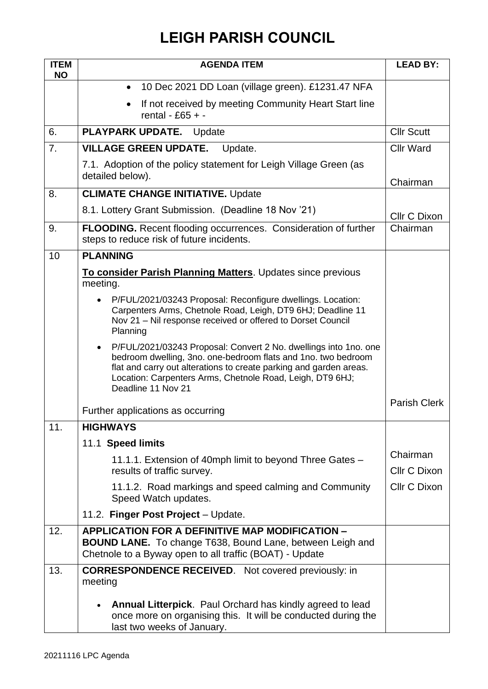# **LEIGH PARISH COUNCIL**

| <b>ITEM</b><br><b>NO</b> | <b>AGENDA ITEM</b>                                                                                                                                                                                                                                                                         | <b>LEAD BY:</b>                 |
|--------------------------|--------------------------------------------------------------------------------------------------------------------------------------------------------------------------------------------------------------------------------------------------------------------------------------------|---------------------------------|
|                          | 10 Dec 2021 DD Loan (village green). £1231.47 NFA<br>$\bullet$                                                                                                                                                                                                                             |                                 |
|                          | If not received by meeting Community Heart Start line<br>rental - £65 + -                                                                                                                                                                                                                  |                                 |
| 6.                       | PLAYPARK UPDATE.<br>Update                                                                                                                                                                                                                                                                 | <b>Cllr Scutt</b>               |
| 7.                       | <b>VILLAGE GREEN UPDATE.</b><br>Update.                                                                                                                                                                                                                                                    | <b>Cllr Ward</b>                |
|                          | 7.1. Adoption of the policy statement for Leigh Village Green (as<br>detailed below).                                                                                                                                                                                                      | Chairman                        |
| 8.                       | <b>CLIMATE CHANGE INITIATIVE. Update</b>                                                                                                                                                                                                                                                   |                                 |
|                          | 8.1. Lottery Grant Submission. (Deadline 18 Nov '21)                                                                                                                                                                                                                                       | <b>Cllr C Dixon</b>             |
| 9.                       | <b>FLOODING.</b> Recent flooding occurrences. Consideration of further<br>steps to reduce risk of future incidents.                                                                                                                                                                        | Chairman                        |
| 10                       | <b>PLANNING</b>                                                                                                                                                                                                                                                                            |                                 |
|                          | To consider Parish Planning Matters. Updates since previous<br>meeting.                                                                                                                                                                                                                    |                                 |
|                          | P/FUL/2021/03243 Proposal: Reconfigure dwellings. Location:<br>Carpenters Arms, Chetnole Road, Leigh, DT9 6HJ; Deadline 11<br>Nov 21 - Nil response received or offered to Dorset Council<br>Planning                                                                                      |                                 |
|                          | P/FUL/2021/03243 Proposal: Convert 2 No. dwellings into 1no. one<br>bedroom dwelling, 3no. one-bedroom flats and 1no. two bedroom<br>flat and carry out alterations to create parking and garden areas.<br>Location: Carpenters Arms, Chetnole Road, Leigh, DT9 6HJ;<br>Deadline 11 Nov 21 |                                 |
|                          | Further applications as occurring                                                                                                                                                                                                                                                          | <b>Parish Clerk</b>             |
| 11.                      | <b>HIGHWAYS</b>                                                                                                                                                                                                                                                                            |                                 |
|                          | 11.1 Speed limits                                                                                                                                                                                                                                                                          |                                 |
|                          | 11.1.1. Extension of 40mph limit to beyond Three Gates –<br>results of traffic survey.                                                                                                                                                                                                     | Chairman<br><b>Cllr C Dixon</b> |
|                          | 11.1.2. Road markings and speed calming and Community<br>Speed Watch updates.                                                                                                                                                                                                              | Cllr C Dixon                    |
|                          | 11.2. Finger Post Project - Update.                                                                                                                                                                                                                                                        |                                 |
| 12.                      | <b>APPLICATION FOR A DEFINITIVE MAP MODIFICATION -</b><br><b>BOUND LANE.</b> To change T638, Bound Lane, between Leigh and<br>Chetnole to a Byway open to all traffic (BOAT) - Update                                                                                                      |                                 |
| 13.                      | <b>CORRESPONDENCE RECEIVED.</b> Not covered previously: in<br>meeting                                                                                                                                                                                                                      |                                 |
|                          | Annual Litterpick. Paul Orchard has kindly agreed to lead<br>once more on organising this. It will be conducted during the<br>last two weeks of January.                                                                                                                                   |                                 |